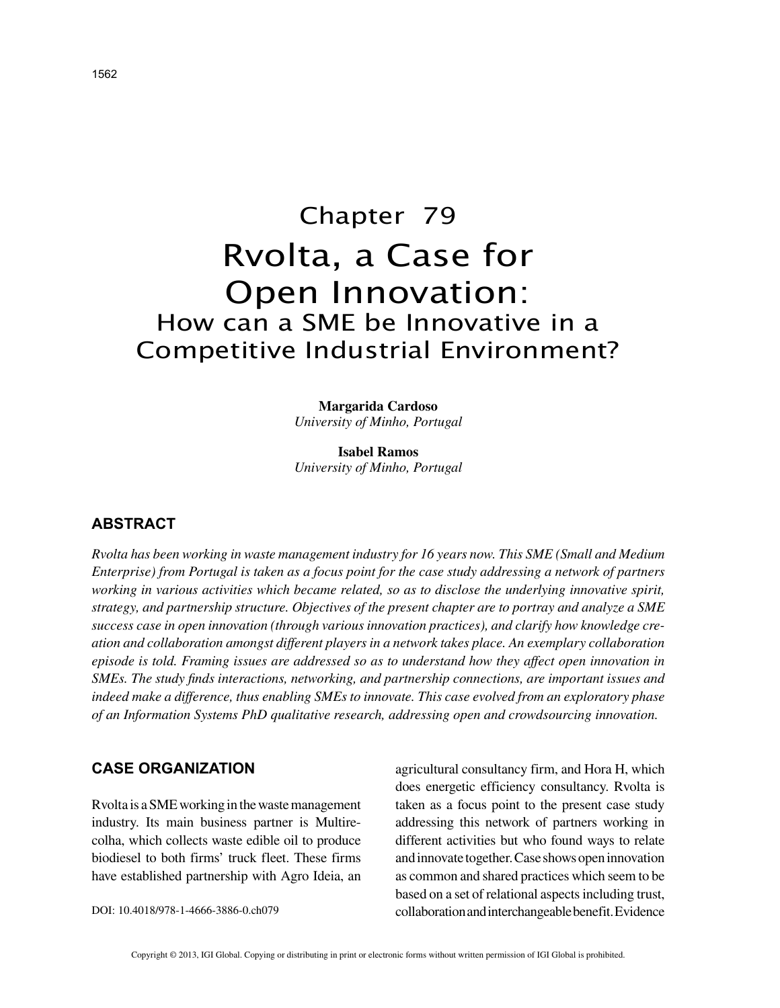# Chapter 79 Rvolta, a Case for Open Innovation: How can a SME be Innovative in a Competitive Industrial Environment?

**Margarida Cardoso** *University of Minho, Portugal*

**Isabel Ramos** *University of Minho, Portugal*

## **ABSTRACT**

*Rvolta has been working in waste management industry for 16 years now. This SME (Small and Medium Enterprise) from Portugal is taken as a focus point for the case study addressing a network of partners working in various activities which became related, so as to disclose the underlying innovative spirit, strategy, and partnership structure. Objectives of the present chapter are to portray and analyze a SME success case in open innovation (through various innovation practices), and clarify how knowledge creation and collaboration amongst different players in a network takes place. An exemplary collaboration episode is told. Framing issues are addressed so as to understand how they affect open innovation in SMEs. The study finds interactions, networking, and partnership connections, are important issues and indeed make a difference, thus enabling SMEs to innovate. This case evolved from an exploratory phase of an Information Systems PhD qualitative research, addressing open and crowdsourcing innovation.*

#### **CASE ORGANIZATION**

Rvolta is a SME working in the waste management industry. Its main business partner is Multirecolha, which collects waste edible oil to produce biodiesel to both firms' truck fleet. These firms have established partnership with Agro Ideia, an

DOI: 10.4018/978-1-4666-3886-0.ch079

agricultural consultancy firm, and Hora H, which does energetic efficiency consultancy. Rvolta is taken as a focus point to the present case study addressing this network of partners working in different activities but who found ways to relate and innovate together. Case shows open innovation as common and shared practices which seem to be based on a set of relational aspects including trust, collaboration and interchangeable benefit. Evidence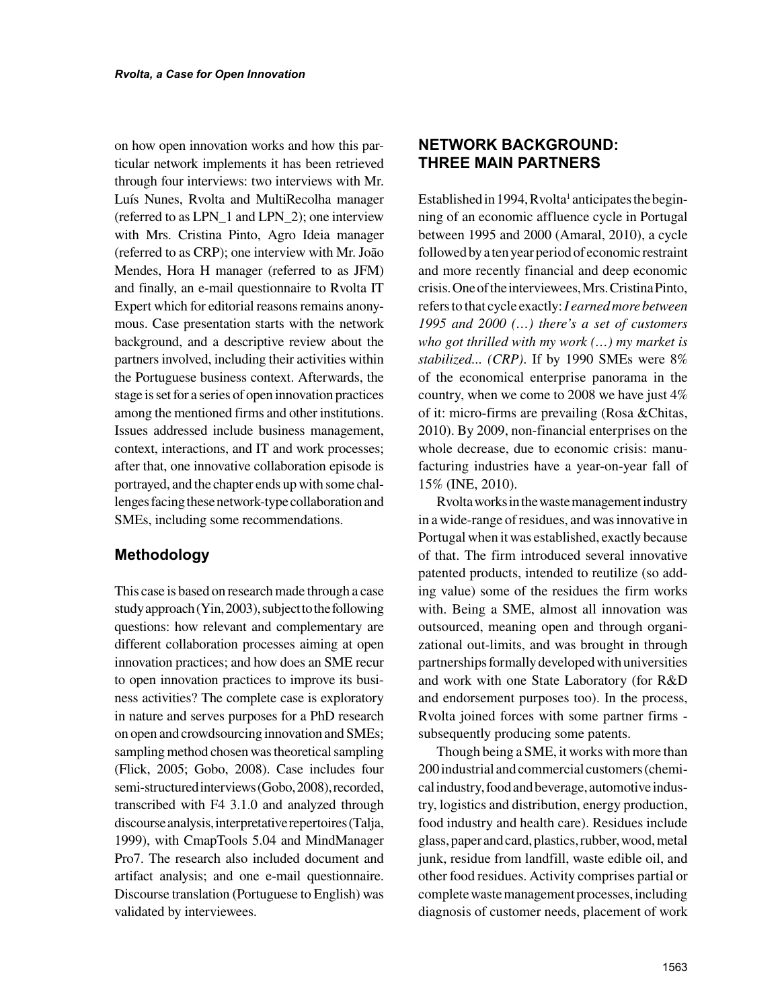on how open innovation works and how this particular network implements it has been retrieved through four interviews: two interviews with Mr. Luís Nunes, Rvolta and MultiRecolha manager (referred to as LPN\_1 and LPN\_2); one interview with Mrs. Cristina Pinto, Agro Ideia manager (referred to as CRP); one interview with Mr. João Mendes, Hora H manager (referred to as JFM) and finally, an e-mail questionnaire to Rvolta IT Expert which for editorial reasons remains anonymous. Case presentation starts with the network background, and a descriptive review about the partners involved, including their activities within the Portuguese business context. Afterwards, the stage is set for a series of open innovation practices among the mentioned firms and other institutions. Issues addressed include business management, context, interactions, and IT and work processes; after that, one innovative collaboration episode is portrayed, and the chapter ends up with some challenges facing these network-type collaboration and SMEs, including some recommendations.

## **Methodology**

This case is based on research made through a case study approach (Yin, 2003), subject to the following questions: how relevant and complementary are different collaboration processes aiming at open innovation practices; and how does an SME recur to open innovation practices to improve its business activities? The complete case is exploratory in nature and serves purposes for a PhD research on open and crowdsourcing innovation and SMEs; sampling method chosen was theoretical sampling (Flick, 2005; Gobo, 2008). Case includes four semi-structured interviews (Gobo, 2008), recorded, transcribed with F4 3.1.0 and analyzed through discourse analysis, interpretative repertoires (Talja, 1999), with CmapTools 5.04 and MindManager Pro7. The research also included document and artifact analysis; and one e-mail questionnaire. Discourse translation (Portuguese to English) was validated by interviewees.

# **NETWORK BACKGROUND: THREE MAIN PARTNERS**

Established in 1994, Rvolta<sup>1</sup> anticipates the beginning of an economic affluence cycle in Portugal between 1995 and 2000 (Amaral, 2010), a cycle followed by a ten year period of economic restraint and more recently financial and deep economic crisis. One of the interviewees, Mrs. Cristina Pinto, refers to that cycle exactly: *I earned more between 1995 and 2000 (…) there's a set of customers who got thrilled with my work (…) my market is stabilized... (CRP)*. If by 1990 SMEs were 8% of the economical enterprise panorama in the country, when we come to 2008 we have just 4% of it: micro-firms are prevailing (Rosa &Chitas, 2010). By 2009, non-financial enterprises on the whole decrease, due to economic crisis: manufacturing industries have a year-on-year fall of 15% (INE, 2010).

Rvolta works in the waste management industry in a wide-range of residues, and was innovative in Portugal when it was established, exactly because of that. The firm introduced several innovative patented products, intended to reutilize (so adding value) some of the residues the firm works with. Being a SME, almost all innovation was outsourced, meaning open and through organizational out-limits, and was brought in through partnerships formally developed with universities and work with one State Laboratory (for R&D and endorsement purposes too). In the process, Rvolta joined forces with some partner firms subsequently producing some patents.

Though being a SME, it works with more than 200 industrial and commercial customers (chemical industry, food and beverage, automotive industry, logistics and distribution, energy production, food industry and health care). Residues include glass, paper and card, plastics, rubber, wood, metal junk, residue from landfill, waste edible oil, and other food residues. Activity comprises partial or complete waste management processes, including diagnosis of customer needs, placement of work